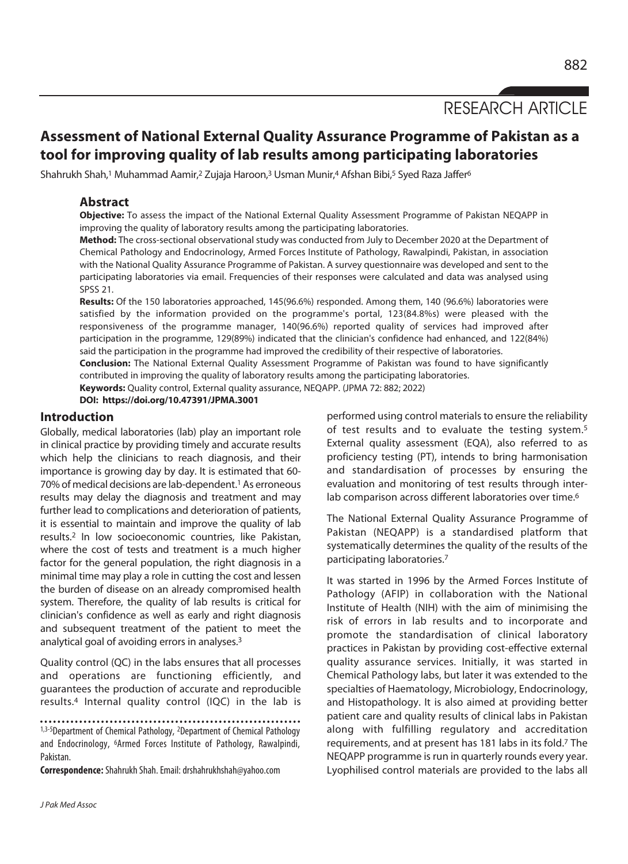# RESEARCH ARTICLE

## **Assessment of National External Quality Assurance Programme of Pakistan as a tool for improving quality of lab results among participating laboratories**

Shahrukh Shah,<sup>1</sup> Muhammad Aamir,<sup>2</sup> Zujaja Haroon,<sup>3</sup> Usman Munir,<sup>4</sup> Afshan Bibi,<sup>5</sup> Syed Raza Jaffer<sup>6</sup>

## **Abstract**

**Objective:** To assess the impact of the National External Quality Assessment Programme of Pakistan NEQAPP in improving the quality of laboratory results among the participating laboratories.

**Method:** The cross-sectional observational study was conducted from July to December 2020 at the Department of Chemical Pathology and Endocrinology, Armed Forces Institute of Pathology, Rawalpindi, Pakistan, in association with the National Quality Assurance Programme of Pakistan. A survey questionnaire was developed and sent to the participating laboratories via email. Frequencies of their responses were calculated and data was analysed using SPSS 21.

**Results:** Of the 150 laboratories approached, 145(96.6%) responded. Among them, 140 (96.6%) laboratories were satisfied by the information provided on the programme's portal, 123(84.8%s) were pleased with the responsiveness of the programme manager, 140(96.6%) reported quality of services had improved after participation in the programme, 129(89%) indicated that the clinician's confidence had enhanced, and 122(84%) said the participation in the programme had improved the credibility of their respective of laboratories.

**Conclusion:** The National External Quality Assessment Programme of Pakistan was found to have significantly contributed in improving the quality of laboratory results among the participating laboratories.

**Keywords:** Quality control, External quality assurance, NEQAPP. (JPMA 72: 882; 2022)

**DOI: https://doi.org/10.47391/JPMA.3001** 

#### **Introduction**

Globally, medical laboratories (lab) play an important role in clinical practice by providing timely and accurate results which help the clinicians to reach diagnosis, and their importance is growing day by day. It is estimated that 60- 70% of medical decisions are lab-dependent.<sup>1</sup> As erroneous results may delay the diagnosis and treatment and may further lead to complications and deterioration of patients, it is essential to maintain and improve the quality of lab results.2 In low socioeconomic countries, like Pakistan, where the cost of tests and treatment is a much higher factor for the general population, the right diagnosis in a minimal time may play a role in cutting the cost and lessen the burden of disease on an already compromised health system. Therefore, the quality of lab results is critical for clinician's confidence as well as early and right diagnosis and subsequent treatment of the patient to meet the analytical goal of avoiding errors in analyses.3

Quality control (QC) in the labs ensures that all processes and operations are functioning efficiently, and guarantees the production of accurate and reproducible results.4 Internal quality control (IQC) in the lab is

1,3-5Department of Chemical Pathology, <sup>2</sup>Department of Chemical Pathology and Endocrinology, 6Armed Forces Institute of Pathology, Rawalpindi, Pakistan.

**Correspondence:** Shahrukh Shah. Email: drshahrukhshah@yahoo.com

performed using control materials to ensure the reliability of test results and to evaluate the testing system.5 External quality assessment (EQA), also referred to as proficiency testing (PT), intends to bring harmonisation and standardisation of processes by ensuring the evaluation and monitoring of test results through interlab comparison across different laboratories over time.<sup>6</sup>

The National External Quality Assurance Programme of Pakistan (NEQAPP) is a standardised platform that systematically determines the quality of the results of the participating laboratories.7

It was started in 1996 by the Armed Forces Institute of Pathology (AFIP) in collaboration with the National Institute of Health (NIH) with the aim of minimising the risk of errors in lab results and to incorporate and promote the standardisation of clinical laboratory practices in Pakistan by providing cost-effective external quality assurance services. Initially, it was started in Chemical Pathology labs, but later it was extended to the specialties of Haematology, Microbiology, Endocrinology, and Histopathology. It is also aimed at providing better patient care and quality results of clinical labs in Pakistan along with fulfilling regulatory and accreditation requirements, and at present has 181 labs in its fold.7 The NEQAPP programme is run in quarterly rounds every year. Lyophilised control materials are provided to the labs all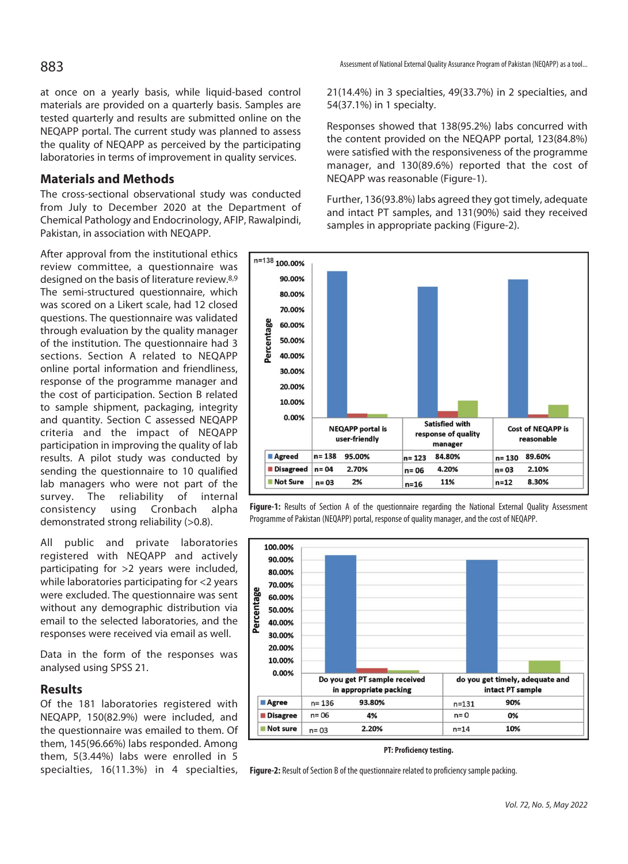at once on a yearly basis, while liquid-based control materials are provided on a quarterly basis. Samples are tested quarterly and results are submitted online on the NEQAPP portal. The current study was planned to assess the quality of NEQAPP as perceived by the participating laboratories in terms of improvement in quality services.

## **Materials and Methods**

The cross-sectional observational study was conducted from July to December 2020 at the Department of Chemical Pathology and Endocrinology, AFIP, Rawalpindi, Pakistan, in association with NEQAPP.

After approval from the institutional ethics review committee, a questionnaire was designed on the basis of literature review.8,9 The semi-structured questionnaire, which was scored on a Likert scale, had 12 closed questions. The questionnaire was validated through evaluation by the quality manager of the institution. The questionnaire had 3 sections. Section A related to NEQAPP online portal information and friendliness, response of the programme manager and the cost of participation. Section B related to sample shipment, packaging, integrity and quantity. Section C assessed NEQAPP criteria and the impact of NEQAPP participation in improving the quality of lab results. A pilot study was conducted by sending the questionnaire to 10 qualified lab managers who were not part of the survey. The reliability of internal consistency using Cronbach alpha demonstrated strong reliability (>0.8).

All public and private laboratories registered with NEQAPP and actively participating for >2 years were included, while laboratories participating for <2 years were excluded. The questionnaire was sent without any demographic distribution via email to the selected laboratories, and the responses were received via email as well.

Data in the form of the responses was analysed using SPSS 21.

## **Results**

Of the 181 laboratories registered with NEQAPP, 150(82.9%) were included, and the questionnaire was emailed to them. Of them, 145(96.66%) labs responded. Among them, 5(3.44%) labs were enrolled in 5 specialties, 16(11.3%) in 4 specialties, 21(14.4%) in 3 specialties, 49(33.7%) in 2 specialties, and 54(37.1%) in 1 specialty.

Responses showed that 138(95.2%) labs concurred with the content provided on the NEQAPP portal, 123(84.8%) were satisfied with the responsiveness of the programme manager, and 130(89.6%) reported that the cost of NEQAPP was reasonable (Figure-1).

Further, 136(93.8%) labs agreed they got timely, adequate and intact PT samples, and 131(90%) said they received samples in appropriate packing (Figure-2).



Figure-1: Results of Section A of the questionnaire regarding the National External Quality Assessment Programme of Pakistan (NEQAPP) portal, response of quality manager, and the cost of NEQAPP.



**PT: Proficiency testing.** 

**Figure-2:** Result of Section B of the questionnaire related to proficiency sample packing.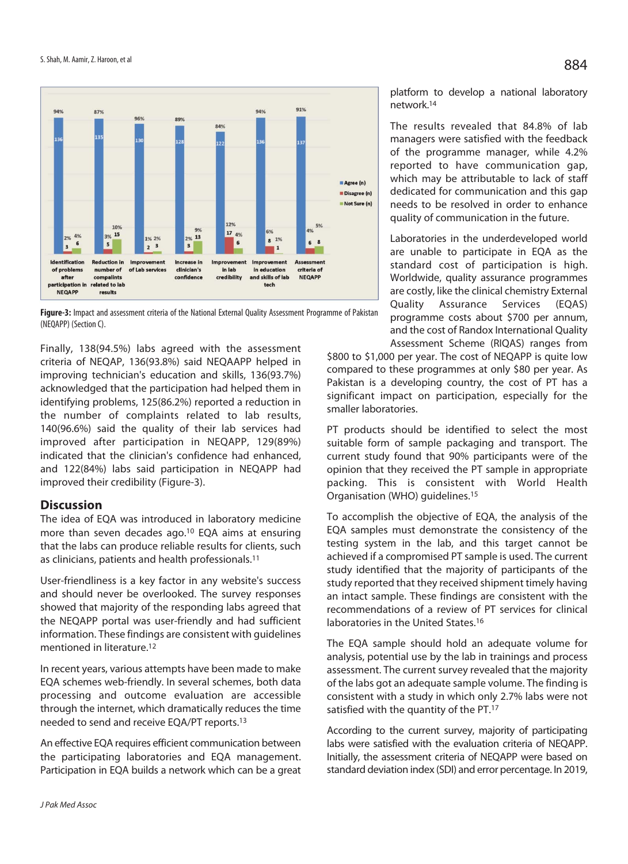

**Figure-3:** Impact and assessment criteria of the National External Quality Assessment Programme of Pakistan (NEQAPP) (Section C).

Finally, 138(94.5%) labs agreed with the assessment criteria of NEQAP, 136(93.8%) said NEQAAPP helped in improving technician's education and skills, 136(93.7%) acknowledged that the participation had helped them in identifying problems, 125(86.2%) reported a reduction in the number of complaints related to lab results, 140(96.6%) said the quality of their lab services had improved after participation in NEQAPP, 129(89%) indicated that the clinician's confidence had enhanced, and 122(84%) labs said participation in NEQAPP had improved their credibility (Figure-3).

## **Discussion**

The idea of EQA was introduced in laboratory medicine more than seven decades ago.10 EQA aims at ensuring that the labs can produce reliable results for clients, such as clinicians, patients and health professionals.11

User-friendliness is a key factor in any website's success and should never be overlooked. The survey responses showed that majority of the responding labs agreed that the NEQAPP portal was user-friendly and had sufficient information. These findings are consistent with guidelines mentioned in literature.12

In recent years, various attempts have been made to make EQA schemes web-friendly. In several schemes, both data processing and outcome evaluation are accessible through the internet, which dramatically reduces the time needed to send and receive EQA/PT reports.13

An effective EQA requires efficient communication between the participating laboratories and EQA management. Participation in EQA builds a network which can be a great platform to develop a national laboratory network.14

The results revealed that 84.8% of lab managers were satisfied with the feedback of the programme manager, while 4.2% reported to have communication gap, which may be attributable to lack of staff dedicated for communication and this gap needs to be resolved in order to enhance quality of communication in the future.

Laboratories in the underdeveloped world are unable to participate in EQA as the standard cost of participation is high. Worldwide, quality assurance programmes are costly, like the clinical chemistry External Quality Assurance Services (EQAS) programme costs about \$700 per annum, and the cost of Randox International Quality Assessment Scheme (RIQAS) ranges from

\$800 to \$1,000 per year. The cost of NEQAPP is quite low compared to these programmes at only \$80 per year. As Pakistan is a developing country, the cost of PT has a significant impact on participation, especially for the smaller laboratories.

PT products should be identified to select the most suitable form of sample packaging and transport. The current study found that 90% participants were of the opinion that they received the PT sample in appropriate packing. This is consistent with World Health Organisation (WHO) guidelines.15

To accomplish the objective of EQA, the analysis of the EQA samples must demonstrate the consistency of the testing system in the lab, and this target cannot be achieved if a compromised PT sample is used. The current study identified that the majority of participants of the study reported that they received shipment timely having an intact sample. These findings are consistent with the recommendations of a review of PT services for clinical laboratories in the United States.16

The EQA sample should hold an adequate volume for analysis, potential use by the lab in trainings and process assessment. The current survey revealed that the majority of the labs got an adequate sample volume. The finding is consistent with a study in which only 2.7% labs were not satisfied with the quantity of the PT.<sup>17</sup>

According to the current survey, majority of participating labs were satisfied with the evaluation criteria of NEQAPP. Initially, the assessment criteria of NEQAPP were based on standard deviation index (SDI) and error percentage. In 2019,